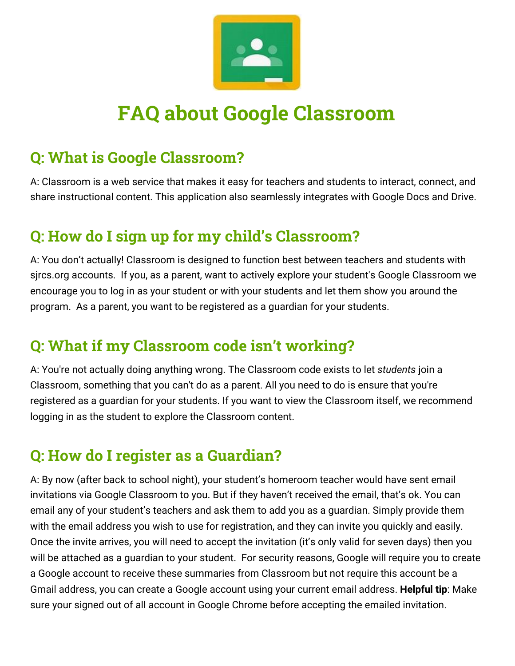

# **FAQ about Google Classroom**

## **Q: What is Google Classroom?**

A: Classroom is a web service that makes it easy for teachers and students to interact, connect, and share instructional content. This application also seamlessly integrates with Google Docs and Drive.

## **Q: How do I sign up for my child's Classroom?**

A: You don't actually! Classroom is designed to function best between teachers and students with sjrcs.org accounts. If you, as a parent, want to actively explore your student's Google Classroom we encourage you to log in as your student or with your students and let them show you around the program. As a parent, you want to be registered as a guardian for your students.

## **Q: What if my Classroom code isn't working?**

A: You're not actually doing anything wrong. The Classroom code exists to let *students* join a Classroom, something that you can't do as a parent. All you need to do is ensure that you're registered as a guardian for your students. If you want to view the Classroom itself, we recommend logging in as the student to explore the Classroom content.

#### **Q: How do I register as a Guardian?**

A: By now (after back to school night), your student's homeroom teacher would have sent email invitations via Google Classroom to you. But if they haven't received the email, that's ok. You can email any of your student's teachers and ask them to add you as a guardian. Simply provide them with the email address you wish to use for registration, and they can invite you quickly and easily. Once the invite arrives, you will need to accept the invitation (it's only valid for seven days) then you will be attached as a guardian to your student. For security reasons, Google will require you to create a Google account to receive these summaries from Classroom but not require this account be a Gmail address, you can create a Google account using your current email address. **Helpful tip**: Make sure your signed out of all account in Google Chrome before accepting the emailed invitation.